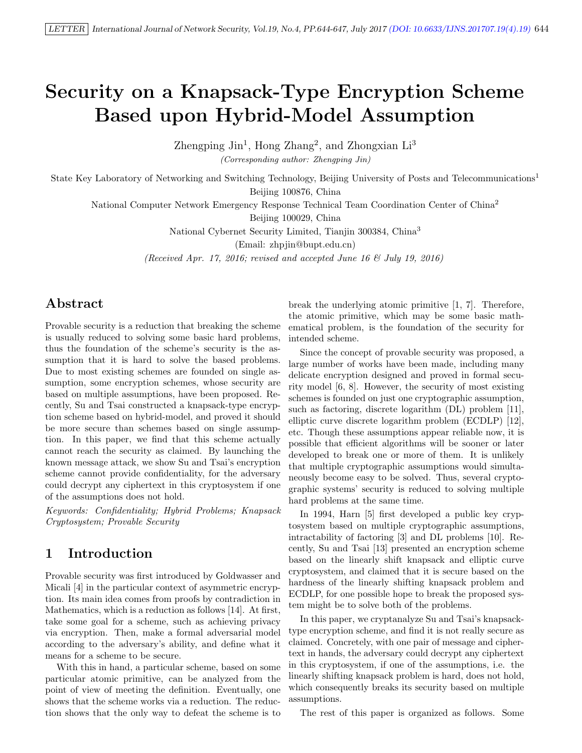# Security on a Knapsack-Type Encryption Scheme Based upon Hybrid-Model Assumption

Zhengping  $\text{Jin}^1$ , Hong Zhang<sup>2</sup>, and Zhongxian Li<sup>3</sup>

(Corresponding author: Zhengping Jin)

State Key Laboratory of Networking and Switching Technology, Beijing University of Posts and Telecommunications<sup>1</sup> Beijing 100876, China

National Computer Network Emergency Response Technical Team Coordination Center of China<sup>2</sup>

Beijing 100029, China

National Cybernet Security Limited, Tianjin 300384, China<sup>3</sup>

(Email: zhpjin@bupt.edu.cn)

(Received Apr. 17, 2016; revised and accepted June 16  $\mathcal C$  July 19, 2016)

# Abstract

Provable security is a reduction that breaking the scheme is usually reduced to solving some basic hard problems, thus the foundation of the scheme's security is the assumption that it is hard to solve the based problems. Due to most existing schemes are founded on single assumption, some encryption schemes, whose security are based on multiple assumptions, have been proposed. Recently, Su and Tsai constructed a knapsack-type encryption scheme based on hybrid-model, and proved it should be more secure than schemes based on single assumption. In this paper, we find that this scheme actually cannot reach the security as claimed. By launching the known message attack, we show Su and Tsai's encryption scheme cannot provide confidentiality, for the adversary could decrypt any ciphertext in this cryptosystem if one of the assumptions does not hold.

Keywords: Confidentiality; Hybrid Problems; Knapsack Cryptosystem; Provable Security

# 1 Introduction

Provable security was first introduced by Goldwasser and Micali [4] in the particular context of asymmetric encryption. Its main idea comes from proofs by contradiction in Mathematics, which is a reduction as follows [14]. At first, take some goal for a scheme, such as achieving privacy via encryption. Then, make a formal adversarial model according to the adversary's ability, and define what it means for a scheme to be secure.

With this in hand, a particular scheme, based on some particular atomic primitive, can be analyzed from the point of view of meeting the definition. Eventually, one shows that the scheme works via a reduction. The reduction shows that the only way to defeat the scheme is to

break the underlying atomic primitive [1, 7]. Therefore, the atomic primitive, which may be some basic mathematical problem, is the foundation of the security for intended scheme.

Since the concept of provable security was proposed, a large number of works have been made, including many delicate encryption designed and proved in formal security model [6, 8]. However, the security of most existing schemes is founded on just one cryptographic assumption, such as factoring, discrete logarithm (DL) problem [11], elliptic curve discrete logarithm problem (ECDLP) [12], etc. Though these assumptions appear reliable now, it is possible that efficient algorithms will be sooner or later developed to break one or more of them. It is unlikely that multiple cryptographic assumptions would simultaneously become easy to be solved. Thus, several cryptographic systems' security is reduced to solving multiple hard problems at the same time.

In 1994, Harn [5] first developed a public key cryptosystem based on multiple cryptographic assumptions, intractability of factoring [3] and DL problems [10]. Recently, Su and Tsai [13] presented an encryption scheme based on the linearly shift knapsack and elliptic curve cryptosystem, and claimed that it is secure based on the hardness of the linearly shifting knapsack problem and ECDLP, for one possible hope to break the proposed system might be to solve both of the problems.

In this paper, we cryptanalyze Su and Tsai's knapsacktype encryption scheme, and find it is not really secure as claimed. Concretely, with one pair of message and ciphertext in hands, the adversary could decrypt any ciphertext in this cryptosystem, if one of the assumptions, i.e. the linearly shifting knapsack problem is hard, does not hold, which consequently breaks its security based on multiple assumptions.

The rest of this paper is organized as follows. Some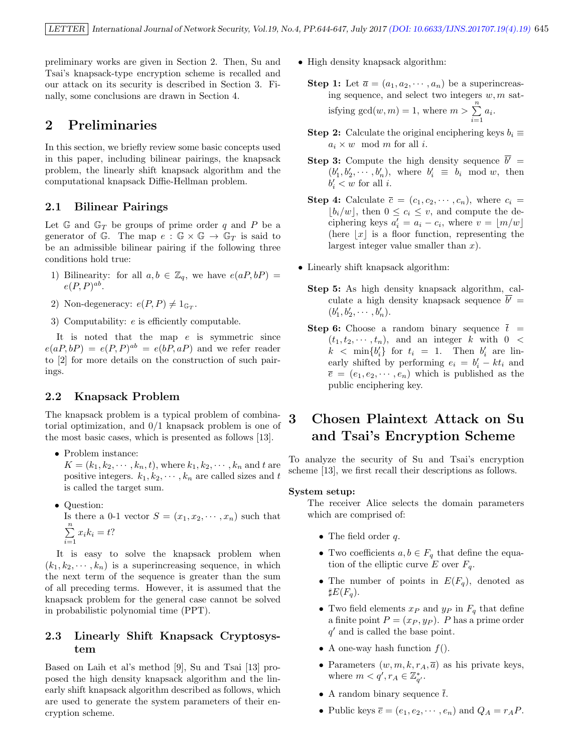preliminary works are given in Section 2. Then, Su and Tsai's knapsack-type encryption scheme is recalled and our attack on its security is described in Section 3. Finally, some conclusions are drawn in Section 4.

## 2 Preliminaries

In this section, we briefly review some basic concepts used in this paper, including bilinear pairings, the knapsack problem, the linearly shift knapsack algorithm and the computational knapsack Diffie-Hellman problem.

#### 2.1 Bilinear Pairings

Let  $\mathbb{G}$  and  $\mathbb{G}_T$  be groups of prime order q and P be a generator of G. The map  $e : \mathbb{G} \times \mathbb{G} \to \mathbb{G}_T$  is said to be an admissible bilinear pairing if the following three conditions hold true:

- 1) Bilinearity: for all  $a, b \in \mathbb{Z}_q$ , we have  $e(aP, bP) =$  $e(P, P)^{ab}$ .
- 2) Non-degeneracy:  $e(P, P) \neq 1_{\mathbb{G}_T}$ .
- 3) Computability: e is efficiently computable.

It is noted that the map  $e$  is symmetric since  $e(aP,bP) = e(P,P)^{ab} = e(bP,aP)$  and we refer reader to [2] for more details on the construction of such pairings.

#### 2.2 Knapsack Problem

The knapsack problem is a typical problem of combinatorial optimization, and 0/1 knapsack problem is one of the most basic cases, which is presented as follows [13].

- Problem instance:  $K = (k_1, k_2, \dots, k_n, t)$ , where  $k_1, k_2, \dots, k_n$  and t are positive integers.  $k_1, k_2, \dots, k_n$  are called sizes and t is called the target sum.
- Question: Is there a 0-1 vector  $S = (x_1, x_2, \dots, x_n)$  such that  $\sum_{n=1}^{\infty}$  $\sum_{i=1} x_i k_i = t?$

It is easy to solve the knapsack problem when  $(k_1, k_2, \dots, k_n)$  is a superincreasing sequence, in which the next term of the sequence is greater than the sum of all preceding terms. However, it is assumed that the knapsack problem for the general case cannot be solved in probabilistic polynomial time (PPT).

### 2.3 Linearly Shift Knapsack Cryptosystem

Based on Laih et al's method [9], Su and Tsai [13] proposed the high density knapsack algorithm and the linearly shift knapsack algorithm described as follows, which are used to generate the system parameters of their encryption scheme.

- High density knapsack algorithm:
	- **Step 1:** Let  $\overline{a} = (a_1, a_2, \dots, a_n)$  be a superincreasing sequence, and select two integers  $w, m$  satisfying  $gcd(w, m) = 1$ , where  $m > \sum_{n=1}^{\infty}$  $\sum_{i=1}^{\infty} a_i.$
	- Step 2: Calculate the original enciphering keys  $b_i \equiv$  $a_i \times w \mod m$  for all i.
	- **Step 3:** Compute the high density sequence  $\overline{b'}$  =  $(b'_1, b'_2, \cdots, b'_n)$ , where  $b'_i \equiv b_i \mod w$ , then  $b_i' < w$  for all *i*.
	- **Step 4:** Calculate  $\bar{c} = (c_1, c_2, \dots, c_n)$ , where  $c_i$  $\lfloor b_i/w \rfloor$ , then  $0 \leq c_i \leq v$ , and compute the deciphering keys  $a'_i = a_i - c_i$ , where  $v = \lfloor m/w \rfloor$ (here  $|x|$  is a floor function, representing the largest integer value smaller than  $x$ ).
- Linearly shift knapsack algorithm:
	- Step 5: As high density knapsack algorithm, calculate a high density knapsack sequence  $\overline{b'}$  =  $(b'_1, b'_2, \cdots, b'_n).$
	- **Step 6:** Choose a random binary sequence  $\bar{t}$  =  $(t_1, t_2, \dots, t_n)$ , and an integer k with  $0 <$  $k < \min\{b_i'\}$  for  $t_i = 1$ . Then  $b_i'$  are linearly shifted by performing  $e_i = b'_i - kt_i$  and  $\overline{e} = (e_1, e_2, \dots, e_n)$  which is published as the public enciphering key.

# 3 Chosen Plaintext Attack on Su and Tsai's Encryption Scheme

To analyze the security of Su and Tsai's encryption scheme [13], we first recall their descriptions as follows.

#### System setup:

The receiver Alice selects the domain parameters which are comprised of:

- The field order  $q$ .
- Two coefficients  $a, b \in F_q$  that define the equation of the elliptic curve E over  $F_q$ .
- The number of points in  $E(F_q)$ , denoted as  $\sharp E(F_q)$ .
- Two field elements  $x_P$  and  $y_P$  in  $F_q$  that define a finite point  $P = (x_P, y_P)$ . P has a prime order  $q'$  and is called the base point.
- A one-way hash function  $f(.)$ .
- Parameters  $(w, m, k, r_A, \overline{a})$  as his private keys, where  $m < q', r_A \in \mathbb{Z}_{q'}^*$ .
- A random binary sequence  $\bar{t}$ .
- Public keys  $\overline{e} = (e_1, e_2, \dots, e_n)$  and  $Q_A = r_A P$ .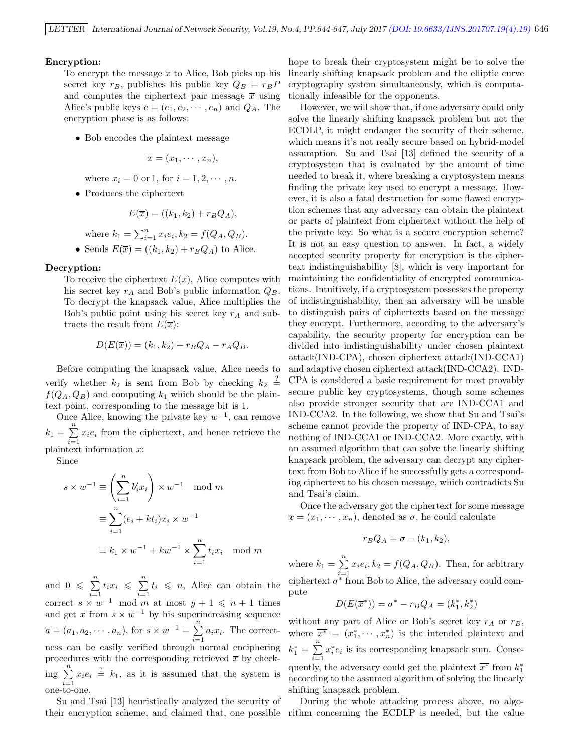#### Encryption:

To encrypt the message  $\bar{x}$  to Alice, Bob picks up his secret key  $r_B$ , publishes his public key  $Q_B = r_B P$ and computes the ciphertext pair message  $\bar{x}$  using Alice's public keys  $\overline{e} = (e_1, e_2, \dots, e_n)$  and  $Q_A$ . The encryption phase is as follows:

• Bob encodes the plaintext message

$$
\overline{x}=(x_1,\cdots,x_n),
$$

where  $x_i = 0$  or 1, for  $i = 1, 2, \dots, n$ .

• Produces the ciphertext

$$
E(\overline{x}) = ((k_1, k_2) + r_B Q_A),
$$

where  $k_1 = \sum_{i=1}^n x_i e_i, k_2 = f(Q_A, Q_B)$ .

• Sends  $E(\overline{x}) = ((k_1, k_2) + r_B Q_A)$  to Alice.

#### Decryption:

To receive the ciphertext  $E(\overline{x})$ , Alice computes with his secret key  $r_A$  and Bob's public information  $Q_B$ . To decrypt the knapsack value, Alice multiplies the Bob's public point using his secret key  $r_A$  and subtracts the result from  $E(\overline{x})$ :

$$
D(E(\overline{x})) = (k_1, k_2) + r_B Q_A - r_A Q_B.
$$

Before computing the knapsack value, Alice needs to verify whether  $k_2$  is sent from Bob by checking  $k_2 \stackrel{?}{=}$  $f(Q_A, Q_B)$  and computing  $k_1$  which should be the plaintext point, corresponding to the message bit is 1.

Once Alice, knowing the private key  $w^{-1}$ , can remove  $k_1 = \sum_{n=1}^{n}$  $\sum_{i=1} x_i e_i$  from the ciphertext, and hence retrieve the plaintext information  $\bar{x}$ :

Since

$$
s \times w^{-1} \equiv \left(\sum_{i=1}^{n} b'_i x_i\right) \times w^{-1} \mod m
$$

$$
\equiv \sum_{i=1}^{n} (e_i + kt_i) x_i \times w^{-1}
$$

$$
\equiv k_1 \times w^{-1} + kw^{-1} \times \sum_{i=1}^{n} t_i x_i \mod m
$$

and  $0 \leqslant \sum^{n}$  $\sum_{i=1}^n t_i x_i \leqslant \sum_{i=1}^n$  $\sum_{i=1}^{n} t_i \leq n$ , Alice can obtain the correct  $s \times w^{-1}$  mod m at most  $y + 1 \leq n + 1$  times and get  $\bar{x}$  from  $s \times w^{-1}$  by his superincreasing sequence  $\overline{a} = (a_1, a_2, \cdots, a_n), \text{ for } s \times w^{-1} = \sum_{n=1}^{\infty}$  $\sum_{i=1} a_i x_i$ . The correctness can be easily verified through normal enciphering procedures with the corresponding retrieved  $\bar{x}$  by check- $\frac{n}{\ln n}$  $\sum_{i=1}^{n} x_i e_i \stackrel{?}{=} k_1$ , as it is assumed that the system is one-to-one.

Su and Tsai [13] heuristically analyzed the security of their encryption scheme, and claimed that, one possible

hope to break their cryptosystem might be to solve the linearly shifting knapsack problem and the elliptic curve cryptography system simultaneously, which is computationally infeasible for the opponents.

However, we will show that, if one adversary could only solve the linearly shifting knapsack problem but not the ECDLP, it might endanger the security of their scheme, which means it's not really secure based on hybrid-model assumption. Su and Tsai [13] defined the security of a cryptosystem that is evaluated by the amount of time needed to break it, where breaking a cryptosystem means finding the private key used to encrypt a message. However, it is also a fatal destruction for some flawed encryption schemes that any adversary can obtain the plaintext or parts of plaintext from ciphertext without the help of the private key. So what is a secure encryption scheme? It is not an easy question to answer. In fact, a widely accepted security property for encryption is the ciphertext indistinguishability [8], which is very important for maintaining the confidentiality of encrypted communications. Intuitively, if a cryptosystem possesses the property of indistinguishability, then an adversary will be unable to distinguish pairs of ciphertexts based on the message they encrypt. Furthermore, according to the adversary's capability, the security property for encryption can be divided into indistinguishability under chosen plaintext attack(IND-CPA), chosen ciphertext attack(IND-CCA1) and adaptive chosen ciphertext attack(IND-CCA2). IND-CPA is considered a basic requirement for most provably secure public key cryptosystems, though some schemes also provide stronger security that are IND-CCA1 and IND-CCA2. In the following, we show that Su and Tsai's scheme cannot provide the property of IND-CPA, to say nothing of IND-CCA1 or IND-CCA2. More exactly, with an assumed algorithm that can solve the linearly shifting knapsack problem, the adversary can decrypt any ciphertext from Bob to Alice if he successfully gets a corresponding ciphertext to his chosen message, which contradicts Su and Tsai's claim.

Once the adversary got the ciphertext for some message  $\overline{x} = (x_1, \dots, x_n)$ , denoted as  $\sigma$ , he could calculate

$$
r_B Q_A = \sigma - (k_1, k_2),
$$

where  $k_1 = \sum_{ }^{n}$  $\sum_{i=1} x_i e_i, k_2 = f(Q_A, Q_B)$ . Then, for arbitrary ciphertext  $\sigma^*$  from Bob to Alice, the adversary could compute

$$
D(E(\overline{x}^*)) = \sigma^* - r_B Q_A = (k_1^*, k_2^*)
$$

without any part of Alice or Bob's secret key  $r_A$  or  $r_B$ , where  $\overline{x^*} = (x_1^*, \dots, x_n^*)$  is the intended plaintext and  $k_1^* = \sum_{ }^n$  $i=1$  $x_i^*e_i$  is its corresponding knapsack sum. Consequently, the adversary could get the plaintext  $\overline{x^*}$  from  $k_1^*$ according to the assumed algorithm of solving the linearly shifting knapsack problem.

During the whole attacking process above, no algorithm concerning the ECDLP is needed, but the value